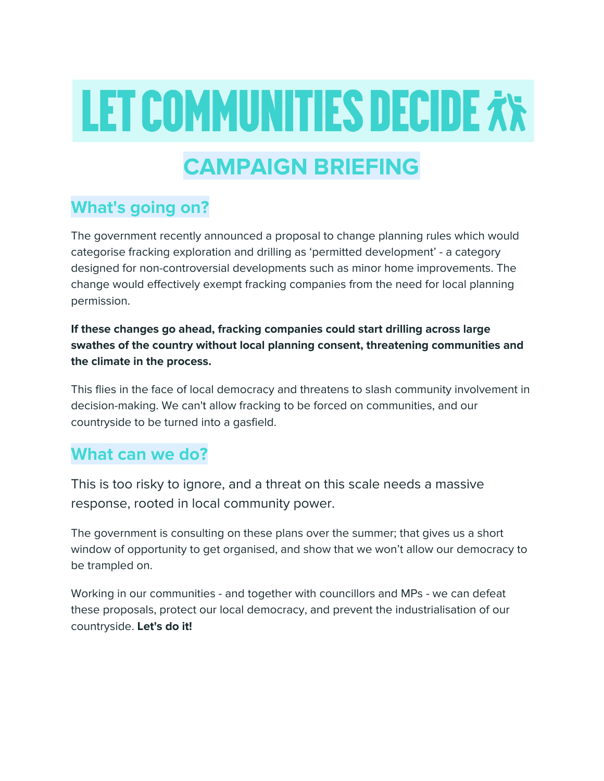# **LET COMMUNITIES DECIDE**  $\dot{x}$ **x**

## **CAMPAIGN BRIEFING**

#### **What's going on?**

The government recently announced a proposal to change planning rules which would categorise fracking exploration and drilling as 'permitted development' - a category designed for non-controversial developments such as minor home improvements. The change would effectively exempt fracking companies from the need for local planning permission.

**If these changes go ahead, fracking companies could start drilling across large swathes of the country without local planning consent, threatening communities and the climate in the process.**

This flies in the face of local democracy and threatens to slash community involvement in decision-making. We can't allow fracking to be forced on communities, and our countryside to be turned into a gasfield.

#### **What can we do?**

This is too risky to ignore, and a threat on this scale needs a massive response, rooted in local community power.

The government is consulting on these plans over the summer; that gives us a short window of opportunity to get organised, and show that we won't allow our democracy to be trampled on.

Working in our communities - and together with councillors and MPs - we can defeat these proposals, protect our local democracy, and prevent the industrialisation of our countryside. **Let's do it!**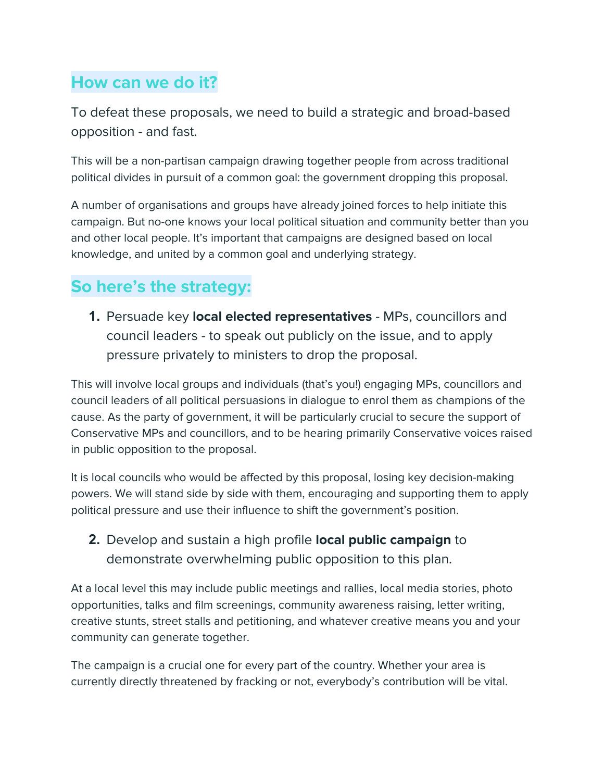## **How can we do it?**

To defeat these proposals, we need to build a strategic and broad-based opposition - and fast.

This will be a non-partisan campaign drawing together people from across traditional political divides in pursuit of a common goal: the government dropping this proposal.

A number of organisations and groups have already joined forces to help initiate this campaign. But no-one knows your local political situation and community better than you and other local people. It's important that campaigns are designed based on local knowledge, and united by a common goal and underlying strategy.

## **So here's the strategy:**

**1.** Persuade key **local elected representatives** - MPs, councillors and council leaders - to speak out publicly on the issue, and to apply pressure privately to ministers to drop the proposal.

This will involve local groups and individuals (that's you!) engaging MPs, councillors and council leaders of all political persuasions in dialogue to enrol them as champions of the cause. As the party of government, it will be particularly crucial to secure the support of Conservative MPs and councillors, and to be hearing primarily Conservative voices raised in public opposition to the proposal.

It is local councils who would be affected by this proposal, losing key decision-making powers. We will stand side by side with them, encouraging and supporting them to apply political pressure and use their influence to shift the government's position.

#### **2.** Develop and sustain a high profile **local public campaign** to demonstrate overwhelming public opposition to this plan.

At a local level this may include public meetings and rallies, local media stories, photo opportunities, talks and film screenings, community awareness raising, letter writing, creative stunts, street stalls and petitioning, and whatever creative means you and your community can generate together.

The campaign is a crucial one for every part of the country. Whether your area is currently directly threatened by fracking or not, everybody's contribution will be vital.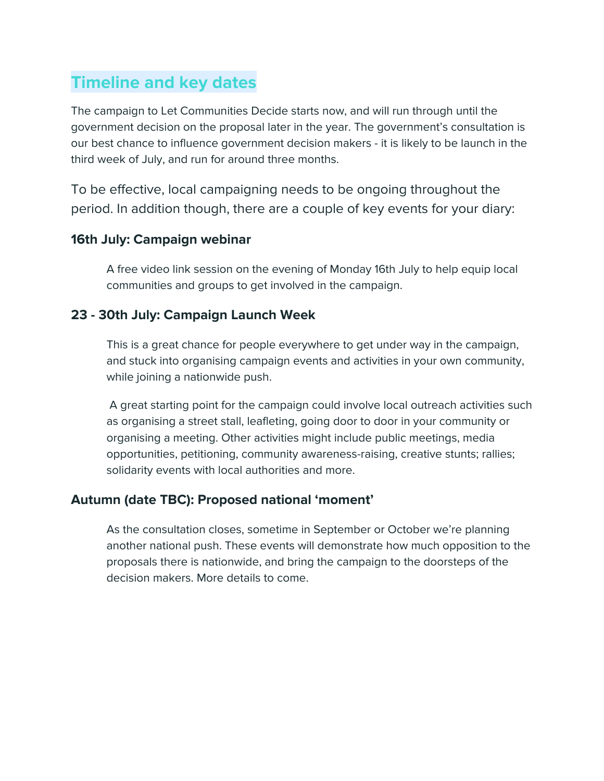## **Timeline and key dates**

The campaign to Let Communities Decide starts now, and will run through until the government decision on the proposal later in the year. The government's consultation is our best chance to influence government decision makers - it is likely to be launch in the third week of July, and run for around three months.

To be effective, local campaigning needs to be ongoing throughout the period. In addition though, there are a couple of key events for your diary:

#### **16th July: Campaign webinar**

A free video link session on the evening of Monday 16th July to help equip local communities and groups to get involved in the campaign.

#### **23 - 30th July: Campaign Launch Week**

This is a great chance for people everywhere to get under way in the campaign, and stuck into organising campaign events and activities in your own community, while joining a nationwide push.

A great starting point for the campaign could involve local outreach activities such as organising a street stall, leafleting, going door to door in your community or organising a meeting. Other activities might include public meetings, media opportunities, petitioning, community awareness-raising, creative stunts; rallies; solidarity events with local authorities and more.

#### **Autumn (date TBC): Proposed national 'moment'**

As the consultation closes, sometime in September or October we're planning another national push. These events will demonstrate how much opposition to the proposals there is nationwide, and bring the campaign to the doorsteps of the decision makers. More details to come.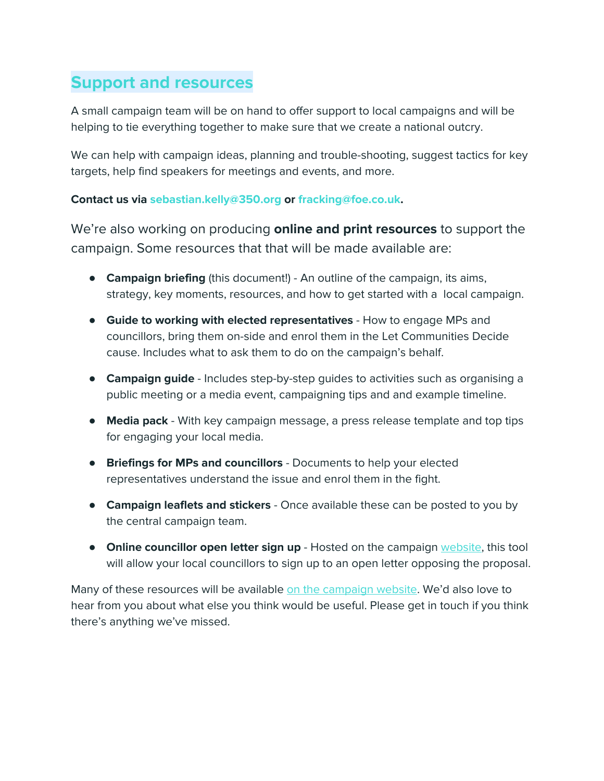## **Support and resources**

A small campaign team will be on hand to offer support to local campaigns and will be helping to tie everything together to make sure that we create a national outcry.

We can help with campaign ideas, planning and trouble-shooting, suggest tactics for key targets, help find speakers for meetings and events, and more.

#### **Contact us via sebastian.kelly@350.org or fracking@foe.co.uk.**

We're also working on producing **online and print resources** to support the campaign. Some resources that that will be made available are:

- **Campaign briefing** (this document!) An outline of the campaign, its aims, strategy, key moments, resources, and how to get started with a local campaign.
- **Guide to working with elected representatives** How to engage MPs and councillors, bring them on-side and enrol them in the Let Communities Decide cause. Includes what to ask them to do on the campaign's behalf.
- **Campaign guide** Includes step-by-step guides to activities such as organising a public meeting or a media event, campaigning tips and and example timeline.
- **Media pack** With key campaign message, a press release template and top tips for engaging your local media.
- **Briefings for MPs and councillors** Documents to help your elected representatives understand the issue and enrol them in the fight.
- **Campaign leaflets and stickers** Once available these can be posted to you by the central campaign team.
- **Online councillor open letter sign up** Hosted on the campaign [website](https://gofossilfree.org/uk/let-communities-decide/), this tool will allow your local councillors to sign up to an open letter opposing the proposal.

Many of these resources will be available on the [campaign](https://gofossilfree.org/uk/let-communities-decide/) website. We'd also love to hear from you about what else you think would be useful. Please get in touch if you think there's anything we've missed.